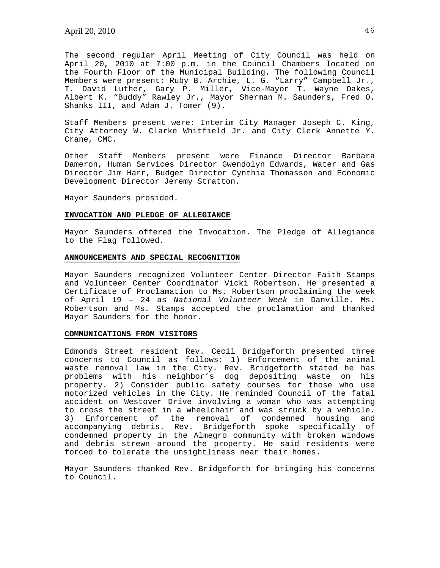The second regular April Meeting of City Council was held on April 20, 2010 at 7:00 p.m. in the Council Chambers located on the Fourth Floor of the Municipal Building. The following Council Members were present: Ruby B. Archie, L. G. "Larry" Campbell Jr., T. David Luther, Gary P. Miller, Vice-Mayor T. Wayne Oakes, Albert K. "Buddy" Rawley Jr., Mayor Sherman M. Saunders, Fred O. Shanks III, and Adam J. Tomer (9).

Staff Members present were: Interim City Manager Joseph C. King, City Attorney W. Clarke Whitfield Jr. and City Clerk Annette Y. Crane, CMC.

Other Staff Members present were Finance Director Barbara Dameron, Human Services Director Gwendolyn Edwards, Water and Gas Director Jim Harr, Budget Director Cynthia Thomasson and Economic Development Director Jeremy Stratton.

Mayor Saunders presided.

# **INVOCATION AND PLEDGE OF ALLEGIANCE**

Mayor Saunders offered the Invocation. The Pledge of Allegiance to the Flag followed.

### **ANNOUNCEMENTS AND SPECIAL RECOGNITION**

Mayor Saunders recognized Volunteer Center Director Faith Stamps and Volunteer Center Coordinator Vicki Robertson. He presented a Certificate of Proclamation to Ms. Robertson proclaiming the week of April 19 – 24 as *National Volunteer Week* in Danville. Ms. Robertson and Ms. Stamps accepted the proclamation and thanked Mayor Saunders for the honor.

## **COMMUNICATIONS FROM VISITORS**

Edmonds Street resident Rev. Cecil Bridgeforth presented three concerns to Council as follows: 1) Enforcement of the animal waste removal law in the City. Rev. Bridgeforth stated he has problems with his neighbor's dog depositing waste on his property. 2) Consider public safety courses for those who use motorized vehicles in the City. He reminded Council of the fatal accident on Westover Drive involving a woman who was attempting to cross the street in a wheelchair and was struck by a vehicle. 3) Enforcement of the removal of condemned housing and accompanying debris. Rev. Bridgeforth spoke specifically of condemned property in the Almegro community with broken windows and debris strewn around the property. He said residents were forced to tolerate the unsightliness near their homes.

Mayor Saunders thanked Rev. Bridgeforth for bringing his concerns to Council.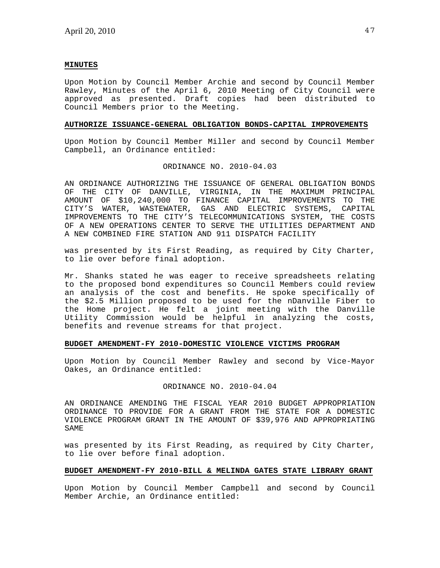## **MINUTES**

Upon Motion by Council Member Archie and second by Council Member Rawley, Minutes of the April 6, 2010 Meeting of City Council were approved as presented. Draft copies had been distributed to Council Members prior to the Meeting.

## **AUTHORIZE ISSUANCE-GENERAL OBLIGATION BONDS-CAPITAL IMPROVEMENTS**

Upon Motion by Council Member Miller and second by Council Member Campbell, an Ordinance entitled:

### ORDINANCE NO. 2010-04.03

AN ORDINANCE AUTHORIZING THE ISSUANCE OF GENERAL OBLIGATION BONDS OF THE CITY OF DANVILLE, VIRGINIA, IN THE MAXIMUM PRINCIPAL AMOUNT OF \$10,240,000 TO FINANCE CAPITAL IMPROVEMENTS TO THE CITY'S WATER, WASTEWATER, GAS AND ELECTRIC SYSTEMS, CAPITAL IMPROVEMENTS TO THE CITY'S TELECOMMUNICATIONS SYSTEM, THE COSTS OF A NEW OPERATIONS CENTER TO SERVE THE UTILITIES DEPARTMENT AND A NEW COMBINED FIRE STATION AND 911 DISPATCH FACILITY

was presented by its First Reading, as required by City Charter, to lie over before final adoption.

Mr. Shanks stated he was eager to receive spreadsheets relating to the proposed bond expenditures so Council Members could review an analysis of the cost and benefits. He spoke specifically of the \$2.5 Million proposed to be used for the nDanville Fiber to the Home project. He felt a joint meeting with the Danville Utility Commission would be helpful in analyzing the costs, benefits and revenue streams for that project.

## **BUDGET AMENDMENT-FY 2010-DOMESTIC VIOLENCE VICTIMS PROGRAM**

Upon Motion by Council Member Rawley and second by Vice-Mayor Oakes, an Ordinance entitled:

### ORDINANCE NO. 2010-04.04

AN ORDINANCE AMENDING THE FISCAL YEAR 2010 BUDGET APPROPRIATION ORDINANCE TO PROVIDE FOR A GRANT FROM THE STATE FOR A DOMESTIC VIOLENCE PROGRAM GRANT IN THE AMOUNT OF \$39,976 AND APPROPRIATING SAME

was presented by its First Reading, as required by City Charter, to lie over before final adoption.

## **BUDGET AMENDMENT-FY 2010-BILL & MELINDA GATES STATE LIBRARY GRANT**

Upon Motion by Council Member Campbell and second by Council Member Archie, an Ordinance entitled: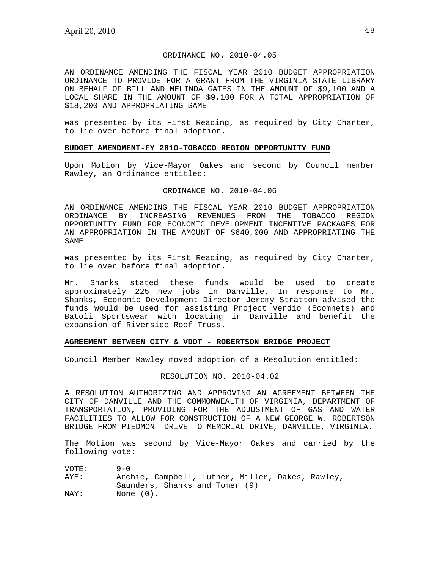# ORDINANCE NO. 2010-04.05

AN ORDINANCE AMENDING THE FISCAL YEAR 2010 BUDGET APPROPRIATION ORDINANCE TO PROVIDE FOR A GRANT FROM THE VIRGINIA STATE LIBRARY ON BEHALF OF BILL AND MELINDA GATES IN THE AMOUNT OF \$9,100 AND A LOCAL SHARE IN THE AMOUNT OF \$9,100 FOR A TOTAL APPROPRIATION OF \$18,200 AND APPROPRIATING SAME

was presented by its First Reading, as required by City Charter, to lie over before final adoption.

# **BUDGET AMENDMENT-FY 2010-TOBACCO REGION OPPORTUNITY FUND**

Upon Motion by Vice-Mayor Oakes and second by Council member Rawley, an Ordinance entitled:

### ORDINANCE NO. 2010-04.06

AN ORDINANCE AMENDING THE FISCAL YEAR 2010 BUDGET APPROPRIATION ORDINANCE BY INCREASING REVENUES FROM THE TOBACCO REGION OPPORTUNITY FUND FOR ECONOMIC DEVELOPMENT INCENTIVE PACKAGES FOR AN APPROPRIATION IN THE AMOUNT OF \$640,000 AND APPROPRIATING THE SAME

was presented by its First Reading, as required by City Charter, to lie over before final adoption.

Mr. Shanks stated these funds would be used to create approximately 225 new jobs in Danville. In response to Mr. Shanks, Economic Development Director Jeremy Stratton advised the funds would be used for assisting Project Verdio (Ecomnets) and Batoli Sportswear with locating in Danville and benefit the expansion of Riverside Roof Truss.

## **AGREEMENT BETWEEN CITY & VDOT - ROBERTSON BRIDGE PROJECT**

Council Member Rawley moved adoption of a Resolution entitled:

### RESOLUTION NO. 2010-04.02

A RESOLUTION AUTHORIZING AND APPROVING AN AGREEMENT BETWEEN THE CITY OF DANVILLE AND THE COMMONWEALTH OF VIRGINIA, DEPARTMENT OF TRANSPORTATION, PROVIDING FOR THE ADJUSTMENT OF GAS AND WATER FACILITIES TO ALLOW FOR CONSTRUCTION OF A NEW GEORGE W. ROBERTSON BRIDGE FROM PIEDMONT DRIVE TO MEMORIAL DRIVE, DANVILLE, VIRGINIA.

The Motion was second by Vice-Mayor Oakes and carried by the following vote:

| VOTE: | $9 - 0$                                          |
|-------|--------------------------------------------------|
| AYE:  | Archie, Campbell, Luther, Miller, Oakes, Rawley, |
|       | Saunders, Shanks and Tomer (9)                   |
| NAY:  | None $(0)$ .                                     |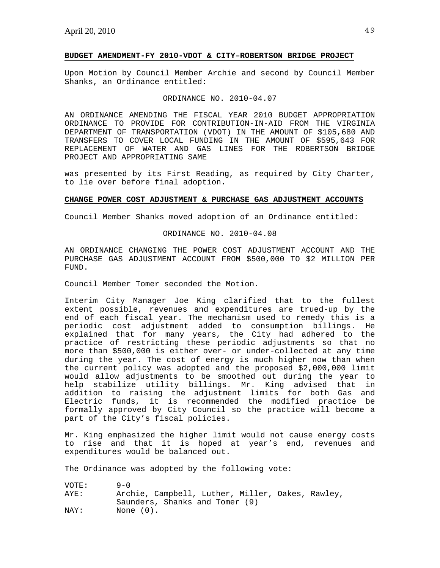## **BUDGET AMENDMENT-FY 2010-VDOT & CITY–ROBERTSON BRIDGE PROJECT**

Upon Motion by Council Member Archie and second by Council Member Shanks, an Ordinance entitled:

# ORDINANCE NO. 2010-04.07

AN ORDINANCE AMENDING THE FISCAL YEAR 2010 BUDGET APPROPRIATION ORDINANCE TO PROVIDE FOR CONTRIBUTION-IN-AID FROM THE VIRGINIA DEPARTMENT OF TRANSPORTATION (VDOT) IN THE AMOUNT OF \$105,680 AND TRANSFERS TO COVER LOCAL FUNDING IN THE AMOUNT OF \$595,643 FOR REPLACEMENT OF WATER AND GAS LINES FOR THE ROBERTSON BRIDGE PROJECT AND APPROPRIATING SAME

was presented by its First Reading, as required by City Charter, to lie over before final adoption.

## **CHANGE POWER COST ADJUSTMENT & PURCHASE GAS ADJUSTMENT ACCOUNTS**

Council Member Shanks moved adoption of an Ordinance entitled:

## ORDINANCE NO. 2010-04.08

AN ORDINANCE CHANGING THE POWER COST ADJUSTMENT ACCOUNT AND THE PURCHASE GAS ADJUSTMENT ACCOUNT FROM \$500,000 TO \$2 MILLION PER FUND.

Council Member Tomer seconded the Motion.

Interim City Manager Joe King clarified that to the fullest extent possible, revenues and expenditures are trued-up by the end of each fiscal year. The mechanism used to remedy this is a periodic cost adjustment added to consumption billings. He explained that for many years, the City had adhered to the practice of restricting these periodic adjustments so that no more than \$500,000 is either over- or under-collected at any time during the year. The cost of energy is much higher now than when the current policy was adopted and the proposed \$2,000,000 limit would allow adjustments to be smoothed out during the year to help stabilize utility billings. Mr. King advised that in addition to raising the adjustment limits for both Gas and Electric funds, it is recommended the modified practice be formally approved by City Council so the practice will become a part of the City's fiscal policies.

Mr. King emphasized the higher limit would not cause energy costs to rise and that it is hoped at year's end, revenues and expenditures would be balanced out.

The Ordinance was adopted by the following vote:

| VOTE: | $9 - 0$                                          |
|-------|--------------------------------------------------|
| AYE:  | Archie, Campbell, Luther, Miller, Oakes, Rawley, |
|       | Saunders, Shanks and Tomer (9)                   |
| NAY:  | None (0).                                        |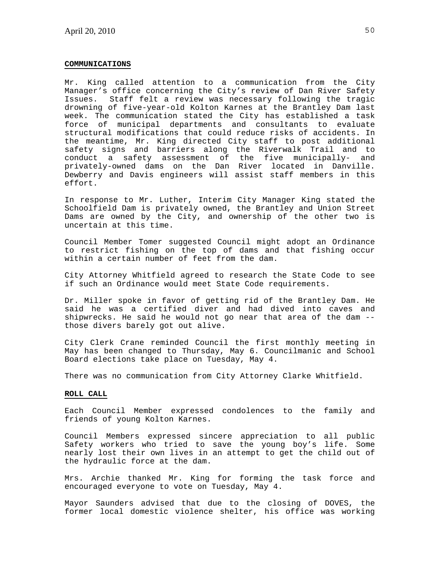#### **COMMUNICATIONS**

Mr. King called attention to a communication from the City Manager's office concerning the City's review of Dan River Safety Issues. Staff felt a review was necessary following the tragic drowning of five-year-old Kolton Karnes at the Brantley Dam last week. The communication stated the City has established a task force of municipal departments and consultants to evaluate structural modifications that could reduce risks of accidents. In the meantime, Mr. King directed City staff to post additional safety signs and barriers along the Riverwalk Trail and to conduct a safety assessment of the five municipally- and privately-owned dams on the Dan River located in Danville. Dewberry and Davis engineers will assist staff members in this effort.

In response to Mr. Luther, Interim City Manager King stated the Schoolfield Dam is privately owned, the Brantley and Union Street Dams are owned by the City, and ownership of the other two is uncertain at this time.

Council Member Tomer suggested Council might adopt an Ordinance to restrict fishing on the top of dams and that fishing occur within a certain number of feet from the dam.

City Attorney Whitfield agreed to research the State Code to see if such an Ordinance would meet State Code requirements.

Dr. Miller spoke in favor of getting rid of the Brantley Dam. He said he was a certified diver and had dived into caves and shipwrecks. He said he would not go near that area of the dam - those divers barely got out alive.

City Clerk Crane reminded Council the first monthly meeting in May has been changed to Thursday, May 6. Councilmanic and School Board elections take place on Tuesday, May 4.

There was no communication from City Attorney Clarke Whitfield.

### **ROLL CALL**

Each Council Member expressed condolences to the family and friends of young Kolton Karnes.

Council Members expressed sincere appreciation to all public Safety workers who tried to save the young boy's life. Some nearly lost their own lives in an attempt to get the child out of the hydraulic force at the dam.

Mrs. Archie thanked Mr. King for forming the task force and encouraged everyone to vote on Tuesday, May 4.

Mayor Saunders advised that due to the closing of DOVES, the former local domestic violence shelter, his office was working